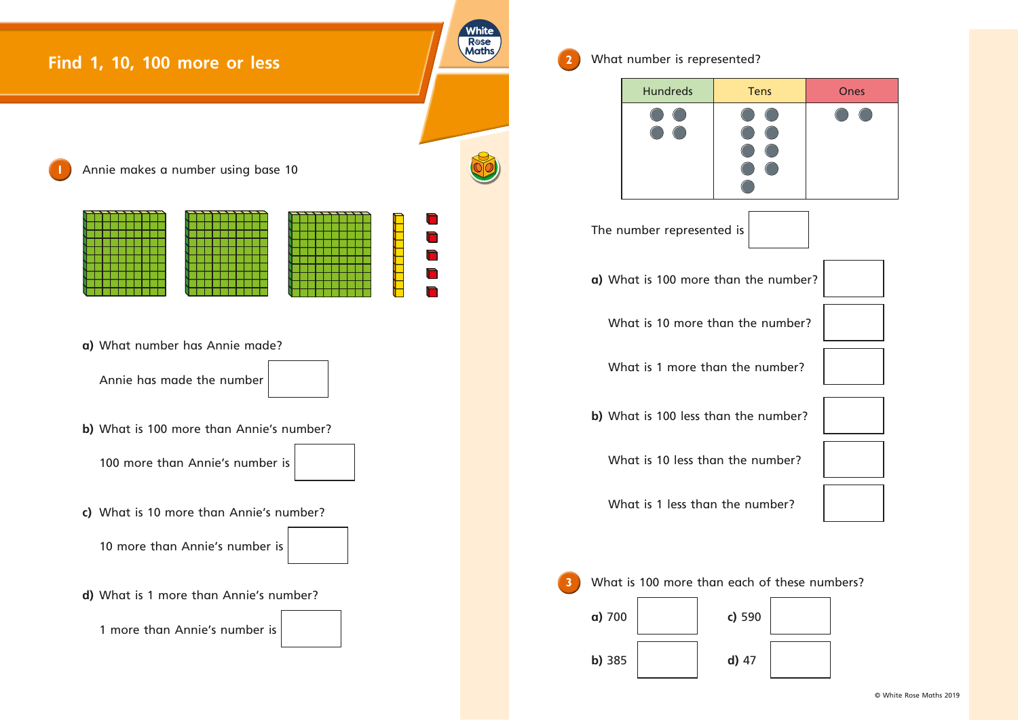

**2** What number is represented?

The number represented is